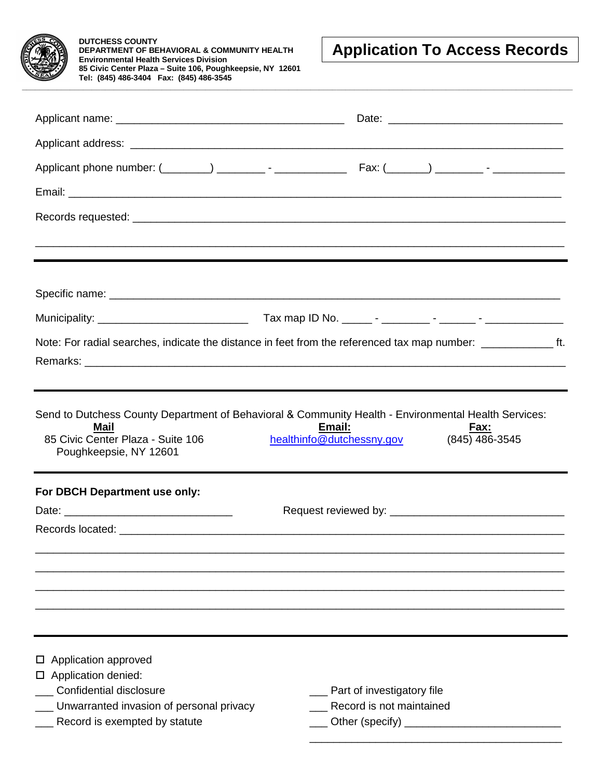| <b>DUTCHESS COUNTY</b><br><b>DEPARTMENT OF BEHAVIORAL &amp; COMMUNITY HEALTH</b><br><b>Environmental Health Services Division</b>                                           | <b>Application To Access Records</b>                          |
|-----------------------------------------------------------------------------------------------------------------------------------------------------------------------------|---------------------------------------------------------------|
| 85 Civic Center Plaza - Suite 106, Poughkeepsie, NY 12601<br>Tel: (845) 486-3404  Fax: (845) 486-3545                                                                       |                                                               |
|                                                                                                                                                                             |                                                               |
|                                                                                                                                                                             |                                                               |
|                                                                                                                                                                             |                                                               |
|                                                                                                                                                                             |                                                               |
|                                                                                                                                                                             |                                                               |
|                                                                                                                                                                             |                                                               |
|                                                                                                                                                                             |                                                               |
|                                                                                                                                                                             |                                                               |
|                                                                                                                                                                             |                                                               |
| Note: For radial searches, indicate the distance in feet from the referenced tax map number: ________________ ft.                                                           |                                                               |
|                                                                                                                                                                             |                                                               |
|                                                                                                                                                                             |                                                               |
| Send to Dutchess County Department of Behavioral & Community Health - Environmental Health Services:<br>Mail<br>85 Civic Center Plaza - Suite 106<br>Poughkeepsie, NY 12601 | Email:<br>Fax:<br>(845) 486-3545<br>healthinfo@dutchessny.gov |
|                                                                                                                                                                             |                                                               |
| For DBCH Department use only:                                                                                                                                               |                                                               |
|                                                                                                                                                                             |                                                               |
|                                                                                                                                                                             |                                                               |
|                                                                                                                                                                             |                                                               |
|                                                                                                                                                                             |                                                               |
| Application approved                                                                                                                                                        |                                                               |
|                                                                                                                                                                             |                                                               |
| □ Application denied:<br><b>Confidential disclosure</b><br>__ Unwarranted invasion of personal privacy                                                                      | __ Part of investigatory file<br>Record is not maintained     |

\_\_\_\_\_\_\_\_\_\_\_\_\_\_\_\_\_\_\_\_\_\_\_\_\_\_\_\_\_\_\_\_\_\_\_\_\_\_\_\_\_\_